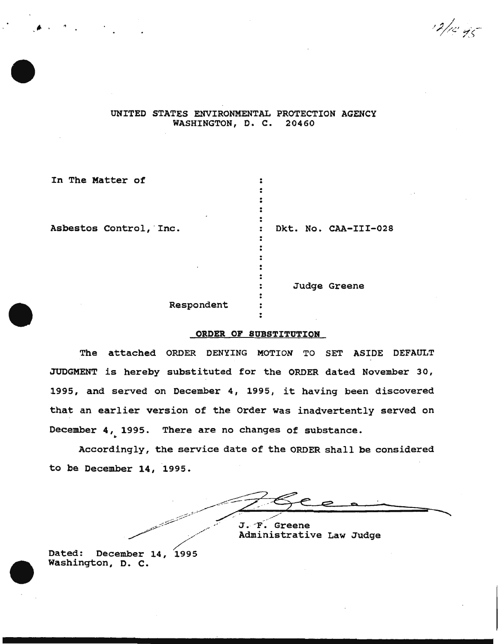$12/10.95$ 

## UNITED STATES ENVIRONMENTAL PROTECTION AGENCY WASHINGTON, D. C. 20460

| In The Matter of       |                      |
|------------------------|----------------------|
| Asbestos Control, Inc. | Dkt. No. CAA-III-028 |
| Respondent             | Judge Greene         |

## ORDER OF SUBSTITUTION

. .

The attached ORDER DENYING MOTION TO SET ASIDE DEFAULT JUDGMENT is hereby substituted for the ORDER dated November 30, 1995, and served on December 4, 1995, it having been discovered that an earlier version of the Order was inadvertently served on December 4, 1995. There are no changes of substance.<br>Accordingly, the service date of the ORDER shall be considered

to be December 14, 1995.

 $\sqrt{2}$  $\frac{196e^{10}}{100}$ \_.- ~~ \_ ,,· · J. -F \_- Greene ~ */ / \_\_.,* Administrative Administrative Law Judge

Dated: December 14, 1995 Washington, D. c.

.,